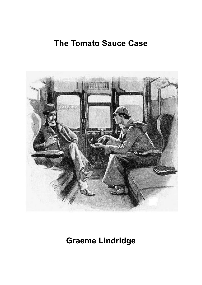## **The Tomato Sauce Case**



**Graeme Lindridge**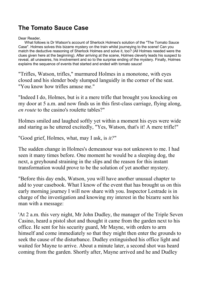## **The Tomato Sauce Case**

## Dear Reader,

What follows is Dr Watson's account of Sherlock Holmes's solution of the "The Tomato Sauce Case". Holmes solves this bizarre mystery on the train whilst journeying to the scene! Can you match the deductive reasoning of Sherlock Holmes and solve it, too? (All Holmes needed were the clues given here at the beginning). After arriving at the scene, Holmes cleverly leads his suspect to reveal, all unawares, his involvement and so to the surprise ending of the mystery. Finally, Holmes explains the sequence of events that started and ended with tomato sauce!

"Trifles, Watson, trifles," murmured Holmes in a monotone, with eyes closed and his slender body slumped languidly in the corner of the seat. "You know how trifles amuse me."

"Indeed I do, Holmes, but is it a mere trifle that brought you knocking on my door at 5 a.m. and now finds us in this first-class carriage, flying along, *en route* to the casino's roulette tables?"

Holmes smiled and laughed softly yet within a moment his eyes were wide and staring as he uttered excitedly, "Yes, Watson, that's it! A mere trifle!"

"Good grief, Holmes, what, may I ask, is *it?*"

The sudden change in Holmes's demeanour was not unknown to me. I had seen it many times before. One moment he would be a sleeping dog, the next, a greyhound straining in the slips and the reason for this instant transformation would prove to be the solution of yet another mystery.

"Before this day ends, Watson, you will have another unusual chapter to add to your casebook. What I know of the event that has brought us on this early morning journey I will now share with you. Inspector Lestrade is in charge of the investigation and knowing my interest in the bizarre sent his man with a message:

'At 2 a.m. this very night, Mr John Dudley, the manager of the Triple Seven Casino, heard a pistol shot and thought it came from the garden next to his office. He sent for his security guard, Mr Mayne, with orders to arm himself and come immediately so that they might then enter the grounds to seek the cause of the disturbance. Dudley extinguished his office light and waited for Mayne to arrive. About a minute later, a second shot was heard coming from the garden. Shortly after, Mayne arrived and he and Dudley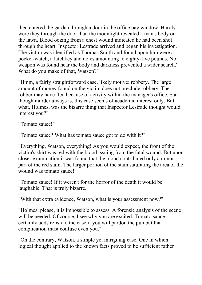then entered the garden through a door in the office bay window. Hardly were they through the door than the moonlight revealed a man's body on the lawn. Blood oozing from a chest wound indicated he had been shot through the heart. Inspector Lestrade arrived and began his investigation. The victim was identified as Thomas Smith and found upon him were a pocket-watch, a latchkey and notes amounting to eighty-five pounds. No weapon was found near the body and darkness prevented a wider search.' What do you make of that, Watson?"

"Hmm, a fairly straightforward case, likely motive: robbery. The large amount of money found on the victim does not preclude robbery. The robber may have fled because of activity within the manager's office. Sad though murder always is, this case seems of academic interest only. But what, Holmes, was the bizarre thing that Inspector Lestrade thought would interest you?"

"Tomato sauce!"

"Tomato sauce? What has tomato sauce got to do with it?"

"Everything, Watson, everything! As you would expect, the front of the victim's shirt was red with the blood issuing from the fatal wound. But upon closer examination it was found that the blood contributed only a minor part of the red stain. The larger portion of the stain saturating the area of the wound was tomato sauce!"

"Tomato sauce! If it weren't for the horror of the death it would be laughable. That is truly bizarre."

"With that extra evidence, Watson, what is your assessment now?"

"Holmes, please, it is impossible to assess. A forensic analysis of the scene will be needed. Of course, I see why you are excited. Tomato sauce certainly adds relish to the case if you will pardon the pun but that complication must confuse even you."

"On the contrary, Watson, a simple yet intriguing case. One in which logical thought applied to the known facts proved to be sufficient rather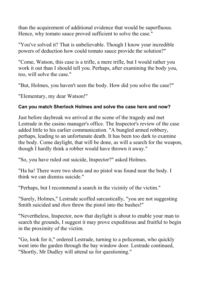than the acquirement of additional evidence that would be superfluous. Hence, why tomato sauce proved sufficient to solve the case."

"You've solved it? That is unbelievable. Though I know your incredible powers of deduction how could tomato sauce provide the solution?"

"Come, Watson, this case is a trifle, a mere trifle, but I would rather you work it out than I should tell you. Perhaps, after examining the body you, too, will solve the case."

"But, Holmes, you haven't seen the body. How did you solve the case?"

"Elementary, my dear Watson!"

## **Can you match Sherlock Holmes and solve the case here and now?**

Just before daybreak we arrived at the scene of the tragedy and met Lestrade in the casino manager's office. The Inspector's review of the case added little to his earlier communication. "A bungled armed robbery, perhaps, leading to an unfortunate death. It has been too dark to examine the body. Come daylight, that will be done, as will a search for the weapon, though I hardly think a robber would have thrown it away."

"So, you have ruled out suicide, Inspector?" asked Holmes.

"Ha ha! There were two shots and no pistol was found near the body. I think we can dismiss suicide."

"Perhaps, but I recommend a search in the vicinity of the victim."

"Surely, Holmes," Lestrade scoffed sarcastically, "you are not suggesting Smith suicided and *then* threw the pistol into the bushes!"

"Nevertheless, Inspector, now that daylight is about to enable your man to search the grounds, I suggest it may prove expeditious and fruitful to begin in the proximity of the victim.

"Go, look for it," ordered Lestrade, turning to a policeman, who quickly went into the garden through the bay window door. Lestrade continued, "Shortly, Mr Dudley will attend us for questioning."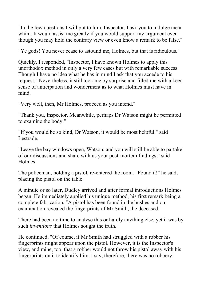"In the few questions I will put to him, Inspector, I ask you to indulge me a whim. It would assist me greatly if you would support my argument even though you may hold the contrary view or even know a remark to be false."

"Ye gods! You never cease to astound me, Holmes, but that is ridiculous."

Quickly, I responded, "Inspector, I have known Holmes to apply this unorthodox method in only a very few cases but with remarkable success. Though I have no idea what he has in mind I ask that you accede to his request." Nevertheless, it still took me by surprise and filled me with a keen sense of anticipation and wonderment as to what Holmes must have in mind.

"Very well, then, Mr Holmes, proceed as you intend."

"Thank you, Inspector. Meanwhile, perhaps Dr Watson might be permitted to examine the body."

"If you would be so kind, Dr Watson, it would be most helpful," said Lestrade.

"Leave the bay windows open, Watson, and you will still be able to partake of our discussions and share with us your post-mortem findings," said Holmes.

The policeman, holding a pistol, re-entered the room. "Found it!" he said, placing the pistol on the table.

A minute or so later, Dudley arrived and after formal introductions Holmes began. He immediately applied his unique method, his first remark being a complete fabrication, "A pistol has been found in the bushes and on examination revealed the fingerprints of Mr Smith, the deceased."

There had been no time to analyse this or hardly anything else, yet it was by such *inventions* that Holmes sought the truth.

He continued, "Of course, if Mr Smith had struggled with a robber his fingerprints might appear upon the pistol. However, it is the Inspector's view, and mine, too, that a robber would not throw his pistol away with his fingerprints on it to identify him. I say, therefore, there was no robbery!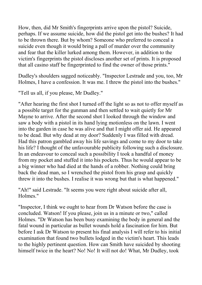How, then, did Mr Smith's fingerprints arrive upon the pistol? Suicide, perhaps. If we assume suicide, how did the pistol get into the bushes? It had to be thrown there. But by whom? Someone who preferred to conceal a suicide even though it would bring a pall of murder over the community and fear that the killer lurked among them. However, in addition to the victim's fingerprints the pistol discloses another set of prints. It is proposed that all casino staff be fingerprinted to find the owner of those prints."

Dudley's shoulders sagged noticeably. "Inspector Lestrade and you, too, Mr Holmes, I have a confession. It was me. I threw the pistol into the bushes."

"Tell us all, if you please, Mr Dudley."

"After hearing the first shot I turned off the light so as not to offer myself as a possible target for the gunman and then settled to wait quietly for Mr Mayne to arrive. After the second shot I looked through the window and saw a body with a pistol in its hand lying motionless on the lawn. I went into the garden in case he was alive and that I might offer aid. He appeared to be dead. But why dead at my door? Suddenly I was filled with dread. Had this patron gambled away his life savings and come to my door to take his life? I thought of the unfavourable publicity following such a disclosure. In an endeavour to conceal such a possibility I took a handful of money from my pocket and stuffed it into his pockets. Thus he would appear to be a big winner who had died at the hands of a robber. Nothing could bring back the dead man, so I wrenched the pistol from his grasp and quickly threw it into the bushes. I realise it was wrong but that is what happened."

"Ah!" said Lestrade. "It seems you were right about suicide after all, Holmes."

"Inspector, I think we ought to hear from Dr Watson before the case is concluded. Watson! If you please, join us in a minute or two," called Holmes. "Dr Watson has been busy examining the body in general and the fatal wound in particular as bullet wounds hold a fascination for him. But before I ask Dr Watson to present his final analysis I will refer to his initial examination that found two bullets lodged in the victim's heart. This leads to the highly pertinent question. How can Smith have suicided by shooting himself twice in the heart? No! No! It will not do! What, Mr Dudley, took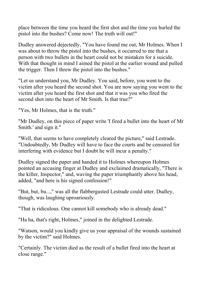place between the time you heard the first shot and the time you hurled the pistol into the bushes? Come now! The truth will out!"

Dudley answered dejectedly, "You have found me out, Mr Holmes. When I was about to throw the pistol into the bushes, it occurred to me that a person with two bullets in the heart could not be mistaken for a suicide. With that thought in mind I aimed the pistol at the earlier wound and pulled the trigger. Then I threw the pistol into the bushes."

"Let us understand you, Mr Dudley. You said, before, you went to the victim after you heard the second shot. You are now saying you went to the victim after you heard the first shot and that it was you who fired the second shot into the heart of Mr Smith. Is that true?"

"Yes, Mr Holmes, that is the truth."

"Mr Dudley, on this piece of paper write 'I fired a bullet into the heart of Mr Smith.' and sign it."

"Well, that seems to have completely cleared the picture," said Lestrade. "Undoubtedly, Mr Dudley will have to face the courts and be censured for interfering with evidence but I doubt he will incur a penalty."

Dudley signed the paper and handed it to Holmes whereupon Holmes pointed an accusing finger at Dudley and exclaimed dramatically, "There is the killer, Inspector," and, waving the paper triumphantly above his head, added, "and here is his signed confession!"

"But, but, bu...," was all the flabbergasted Lestrade could utter. Dudley, though, was laughing uproariously.

"That is ridiculous. One cannot kill somebody who is already dead."

"Ha ha, that's right, Holmes," joined in the delighted Lestrade.

"Watson, would you kindly give us your appraisal of the wounds sustained by the victim?" said Holmes.

"Certainly. The victim died as the result of a bullet fired into the heart at close range."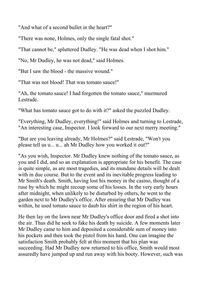"And what of a second bullet in the heart?"

"There was none, Holmes, only the single fatal shot."

"That cannot be," spluttered Dudley. "He was dead when I shot him."

"No, Mr Dudley, he was not dead," said Holmes.

"But I saw the blood - the massive wound."

"That was not blood! That was tomato sauce!"

"Ah, the tomato sauce! I had forgotten the tomato sauce," murmured Lestrade.

"What has tomato sauce got to do with it?" asked the puzzled Dudley.

"Everything, Mr Dudley, everything!" said Holmes and turning to Lestrade, "An interesting case, Inspector. I look forward to our next merry meeting."

"But are you leaving already, Mr Holmes?" said Lestrade, "Won't you please tell us u... u... ah Mr Dudley how you worked it out?"

"As you wish, Inspector. Mr Dudley knew nothing of the tomato sauce, as you and I did, and so an explanation is appropriate for his benefit. The case is quite simple, as are most tragedies, and its mundane details will be dealt with in due course. But to the event and its inevitable progress leading to Mr Smith's death. Smith, having lost his money in the casino, thought of a ruse by which he might recoup some of his losses. In the very early hours after midnight, when unlikely to be disturbed by others, he went to the garden next to Mr Dudley's office. After ensuring that Mr Dudley was within, he used tomato sauce to daub his shirt in the region of his heart.

He then lay on the lawn near Mr Dudley's office door and fired a shot into the air. Thus did he seek to fake his death by suicide. A few moments later Mr Dudley came to him and deposited a considerable sum of money into his pockets and then took the pistol from his hand. One can imagine the satisfaction Smith probably felt at this moment that his plan was succeeding. Had Mr Dudley now returned to his office, Smith would most assuredly have jumped up and run away with his booty. However, such was